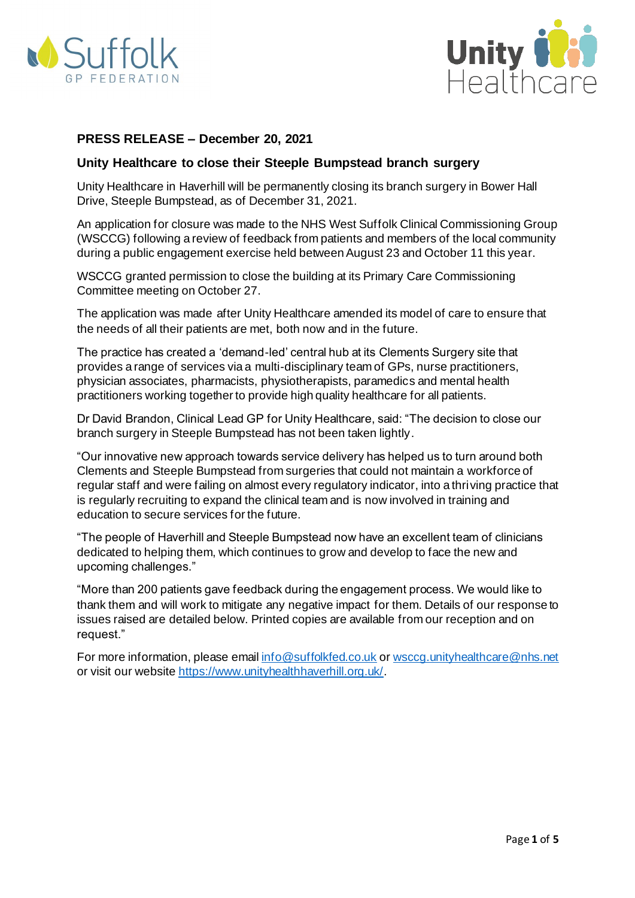



## **PRESS RELEASE – December 20, 2021**

### **Unity Healthcare to close their Steeple Bumpstead branch surgery**

Unity Healthcare in Haverhill will be permanently closing its branch surgery in Bower Hall Drive, Steeple Bumpstead, as of December 31, 2021.

An application for closure was made to the NHS West Suffolk Clinical Commissioning Group (WSCCG) following a review of feedback from patients and members of the local community during a public engagement exercise held between August 23 and October 11 this year.

WSCCG granted permission to close the building at its Primary Care Commissioning Committee meeting on October 27.

The application was made after Unity Healthcare amended its model of care to ensure that the needs of all their patients are met, both now and in the future.

The practice has created a 'demand-led' central hub at its Clements Surgery site that provides a range of services via a multi-disciplinary team of GPs, nurse practitioners, physician associates, pharmacists, physiotherapists, paramedics and mental health practitioners working together to provide high quality healthcare for all patients.

Dr David Brandon, Clinical Lead GP for Unity Healthcare, said: "The decision to close our branch surgery in Steeple Bumpstead has not been taken lightly.

"Our innovative new approach towards service delivery has helped us to turn around both Clements and Steeple Bumpstead from surgeries that could not maintain a workforce of regular staff and were failing on almost every regulatory indicator, into a thriving practice that is regularly recruiting to expand the clinical team and is now involved in training and education to secure services for the future.

"The people of Haverhill and Steeple Bumpstead now have an excellent team of clinicians dedicated to helping them, which continues to grow and develop to face the new and upcoming challenges."

"More than 200 patients gave feedback during the engagement process. We would like to thank them and will work to mitigate any negative impact for them. Details of our response to issues raised are detailed below. Printed copies are available from our reception and on request."

For more information, please email [info@suffolkfed.co.uk](mailto:info@suffolkfed.co.uk) or [wsccg.unityhealthcare@nhs.net](mailto:wsccg.unityhealthcare@nhs.net) or visit our websit[e https://www.unityhealthhaverhill.org.uk/](https://www.unityhealthhaverhill.org.uk/).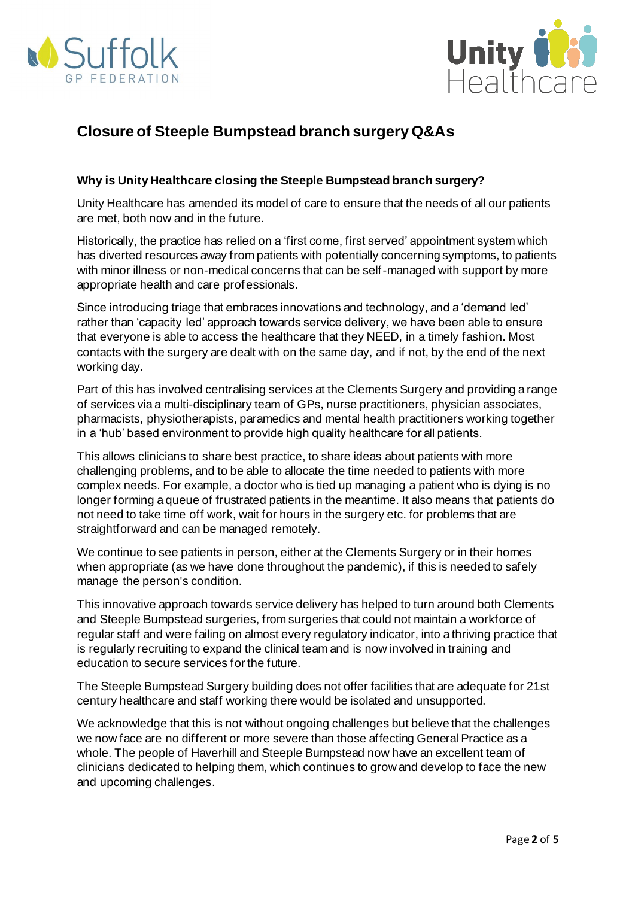



# **Closure of Steeple Bumpstead branch surgery Q&As**

# **Why is Unity Healthcare closing the Steeple Bumpstead branch surgery?**

Unity Healthcare has amended its model of care to ensure that the needs of all our patients are met, both now and in the future.

Historically, the practice has relied on a 'first come, first served' appointment system which has diverted resources away from patients with potentially concerning symptoms, to patients with minor illness or non-medical concerns that can be self-managed with support by more appropriate health and care professionals.

Since introducing triage that embraces innovations and technology, and a 'demand led' rather than 'capacity led' approach towards service delivery, we have been able to ensure that everyone is able to access the healthcare that they NEED, in a timely fashion. Most contacts with the surgery are dealt with on the same day, and if not, by the end of the next working day.

Part of this has involved centralising services at the Clements Surgery and providing a range of services via a multi-disciplinary team of GPs, nurse practitioners, physician associates, pharmacists, physiotherapists, paramedics and mental health practitioners working together in a 'hub' based environment to provide high quality healthcare for all patients.

This allows clinicians to share best practice, to share ideas about patients with more challenging problems, and to be able to allocate the time needed to patients with more complex needs. For example, a doctor who is tied up managing a patient who is dying is no longer forming a queue of frustrated patients in the meantime. It also means that patients do not need to take time off work, wait for hours in the surgery etc. for problems that are straightforward and can be managed remotely.

We continue to see patients in person, either at the Clements Surgery or in their homes when appropriate (as we have done throughout the pandemic), if this is needed to safely manage the person's condition.

This innovative approach towards service delivery has helped to turn around both Clements and Steeple Bumpstead surgeries, from surgeries that could not maintain a workforce of regular staff and were failing on almost every regulatory indicator, into a thriving practice that is regularly recruiting to expand the clinical team and is now involved in training and education to secure services for the future.

The Steeple Bumpstead Surgery building does not offer facilities that are adequate for 21st century healthcare and staff working there would be isolated and unsupported.

We acknowledge that this is not without ongoing challenges but believe that the challenges we now face are no different or more severe than those affecting General Practice as a whole. The people of Haverhill and Steeple Bumpstead now have an excellent team of clinicians dedicated to helping them, which continues to grow and develop to face the new and upcoming challenges.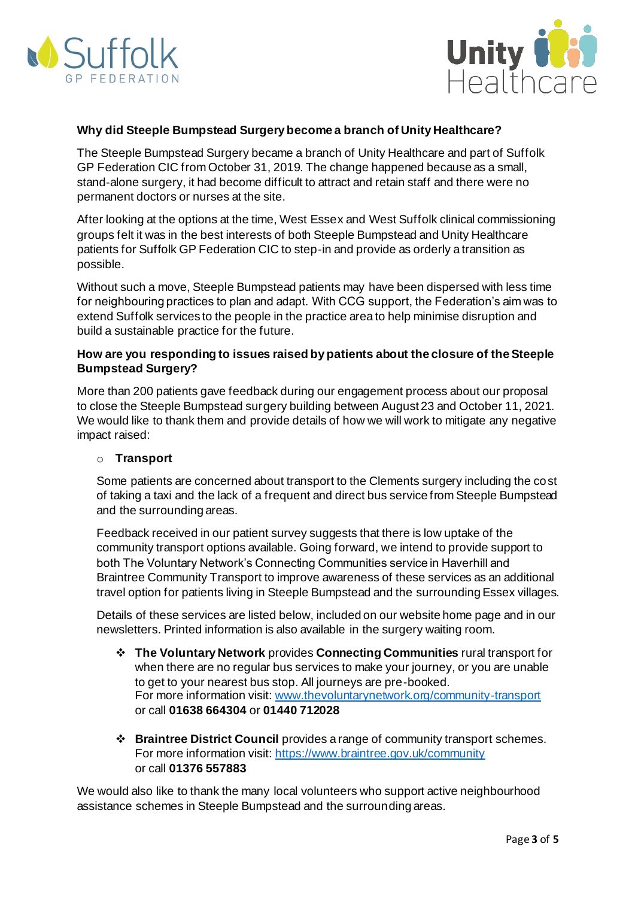



## **Why did Steeple Bumpstead Surgery become a branch of Unity Healthcare?**

The Steeple Bumpstead Surgery became a branch of Unity Healthcare and part of Suffolk GP Federation CIC from October 31, 2019. The change happened because as a small, stand-alone surgery, it had become difficult to attract and retain staff and there were no permanent doctors or nurses at the site.

After looking at the options at the time, West Essex and West Suffolk clinical commissioning groups felt it was in the best interests of both Steeple Bumpstead and Unity Healthcare patients for Suffolk GP Federation CIC to step-in and provide as orderly a transition as possible.

Without such a move, Steeple Bumpstead patients may have been dispersed with less time for neighbouring practices to plan and adapt. With CCG support, the Federation's aim was to extend Suffolk services to the people in the practice area to help minimise disruption and build a sustainable practice for the future.

## **How are you responding to issues raised by patients about the closure of the Steeple Bumpstead Surgery?**

More than 200 patients gave feedback during our engagement process about our proposal to close the Steeple Bumpstead surgery building between August 23 and October 11, 2021. We would like to thank them and provide details of how we will work to mitigate any negative impact raised:

#### o **Transport**

Some patients are concerned about transport to the Clements surgery including the cost of taking a taxi and the lack of a frequent and direct bus service from Steeple Bumpstead and the surrounding areas.

Feedback received in our patient survey suggests that there is low uptake of the community transport options available. Going forward, we intend to provide support to both The Voluntary Network's Connecting Communities service in Haverhill and Braintree Community Transport to improve awareness of these services as an additional travel option for patients living in Steeple Bumpstead and the surrounding Essex villages.

Details of these services are listed below, included on our website home page and in our newsletters. Printed information is also available in the surgery waiting room.

- ❖ **The Voluntary Network** provides **Connecting Communities** rural transport for when there are no regular bus services to make your journey, or you are unable to get to your nearest bus stop. All journeys are pre-booked. For more information visit[: www.thevoluntarynetwork.org/community-transport](http://www.thevoluntarynetwork.org/community-transport) or call **01638 664304** or **01440 712028**
- ❖ **Braintree District Council** provides a range of community transport schemes. For more information visit[: https://www.braintree.gov.uk/community](https://www.braintree.gov.uk/community) or call **01376 557883**

We would also like to thank the many local volunteers who support active neighbourhood assistance schemes in Steeple Bumpstead and the surrounding areas.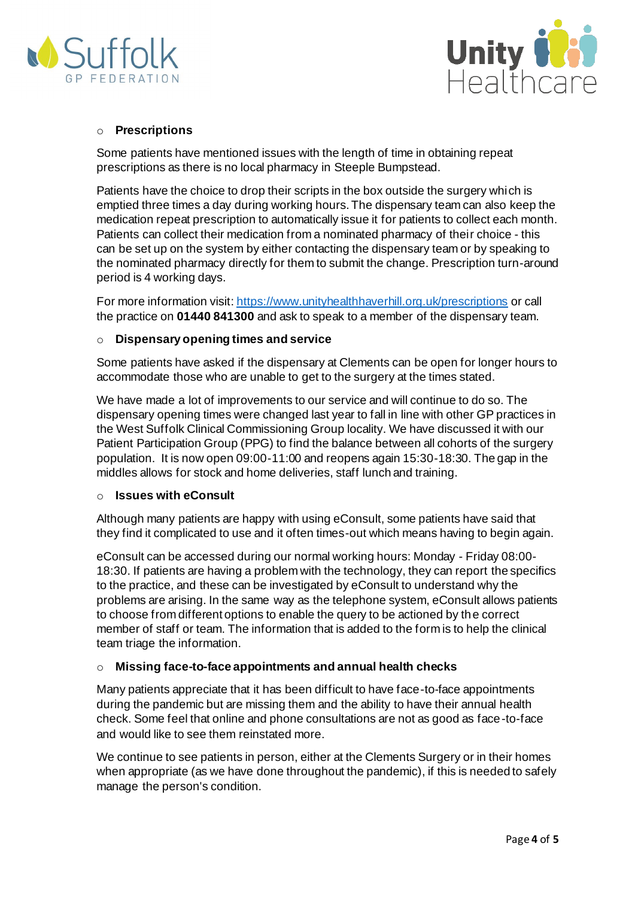



## o **Prescriptions**

Some patients have mentioned issues with the length of time in obtaining repeat prescriptions as there is no local pharmacy in Steeple Bumpstead.

Patients have the choice to drop their scripts in the box outside the surgery which is emptied three times a day during working hours. The dispensary team can also keep the medication repeat prescription to automatically issue it for patients to collect each month. Patients can collect their medication from a nominated pharmacy of their choice - this can be set up on the system by either contacting the dispensary team or by speaking to the nominated pharmacy directly for them to submit the change. Prescription turn-around period is 4 working days.

For more information visit: <https://www.unityhealthhaverhill.org.uk/prescriptions> or call the practice on **01440 841300** and ask to speak to a member of the dispensary team.

#### o **Dispensary opening times and service**

Some patients have asked if the dispensary at Clements can be open for longer hours to accommodate those who are unable to get to the surgery at the times stated.

We have made a lot of improvements to our service and will continue to do so. The dispensary opening times were changed last year to fall in line with other GP practices in the West Suffolk Clinical Commissioning Group locality. We have discussed it with our Patient Participation Group (PPG) to find the balance between all cohorts of the surgery population. It is now open 09:00-11:00 and reopens again 15:30-18:30. The gap in the middles allows for stock and home deliveries, staff lunch and training.

#### o **Issues with eConsult**

Although many patients are happy with using eConsult, some patients have said that they find it complicated to use and it often times-out which means having to begin again.

eConsult can be accessed during our normal working hours: Monday - Friday 08:00- 18:30. If patients are having a problem with the technology, they can report the specifics to the practice, and these can be investigated by eConsult to understand why the problems are arising. In the same way as the telephone system, eConsult allows patients to choose from different options to enable the query to be actioned by the correct member of staff or team. The information that is added to the form is to help the clinical team triage the information.

## o **Missing face-to-face appointments and annual health checks**

Many patients appreciate that it has been difficult to have face-to-face appointments during the pandemic but are missing them and the ability to have their annual health check. Some feel that online and phone consultations are not as good as face-to-face and would like to see them reinstated more.

We continue to see patients in person, either at the Clements Surgery or in their homes when appropriate (as we have done throughout the pandemic), if this is needed to safely manage the person's condition.